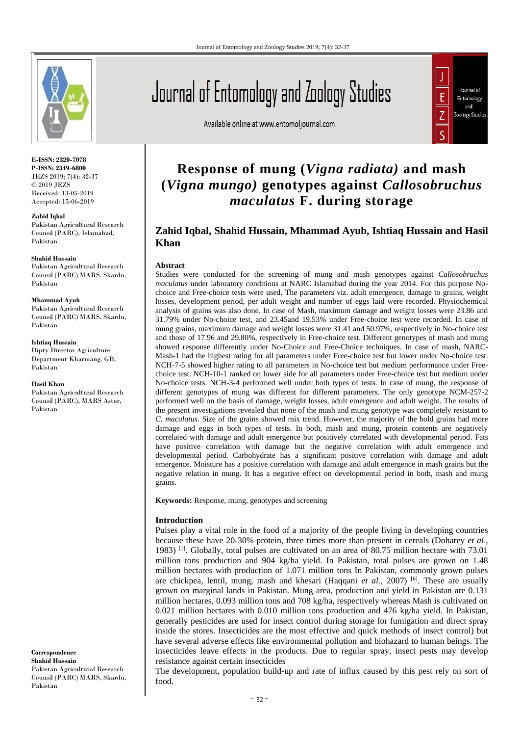

**E-ISSN: 2320-7078 P-ISSN: 2349-6800** JEZS 2019; 7(4): 32-37 © 2019 JEZS Received: 13-05-2019 Accepted: 15-06-2019

**Zahid Iqbal**

Pakistan Agricultural Research Counsil (PARC), Islamabad, Pakistan

**Shahid Hussain** Pakistan Agricultural Research Counsil (PARC) MARS, Skardu, Pakistan

**Mhammad Ayub** Pakistan Agricultural Research Counsil (PARC) MARS, Skardu, Pakistan

**Ishtiaq Hussain** Dipty Director Agriculture Department Kharmang, GB, Pakistan

**Hasil Khan**

Pakistan Agricultural Research Counsil (PARC), MARS Astor, Pakistan

**Correspondence Shahid Hussain** Pakistan Agricultural Research Counsil (PARC) MARS, Skardu, Pakistan

# Journal of Entomology and Zoology Studies

Available online at www.entomoljournal.com



# **Response of mung (***Vigna radiata)* **and mash (***Vigna mungo)* **genotypes against** *Callosobruchus maculatus* **F. during storage**

# **Zahid Iqbal, Shahid Hussain, Mhammad Ayub, Ishtiaq Hussain and Hasil Khan**

#### **Abstract**

Studies were conducted for the screening of mung and mash genotypes against *Callosobruchus maculatus* under laboratory conditions at NARC Islamabad during the year 2014. For this purpose Nochoice and Free-choice tests were used. The parameters viz. adult emergence, damage to grains, weight losses, development period, per adult weight and number of eggs laid were recorded. Physiochemical analysis of grains was also done. In case of Mash, maximum damage and weight losses were 23.86 and 31.79% under No-choice test, and 23.45and 19.53% under Free-choice test were recorded. In case of mung grains, maximum damage and weight losses were 31.41 and 50.97%, respectively in No-choice test and those of 17.96 and 29.80%, respectively in Free-choice test. Different genotypes of mash and mung showed response differently under No-Choice and Free-Choice techniques. In case of mash, NARC-Mash-1 had the highest rating for all parameters under Free-choice test but lower under No-choice test. NCH-7-5 showed higher rating to all parameters in No-choice test but medium performance under Freechoice test. NCH-10-1 ranked on lower side for all parameters under Free-choice test but medium under No-choice tests. NCH-3-4 performed well under both types of tests. In case of mung, the response of different genotypes of mung was different for different parameters. The only genotype NCM-257-2 performed well on the basis of damage, weight losses, adult emergence and adult weight. The results of the present investigations revealed that none of the mash and mung genotype was completely resistant to *C. maculatus*. Size of the grains showed mix trend. However, the majority of the bold grains had more damage and eggs in both types of tests. In both, mash and mung, protein contents are negatively correlated with damage and adult emergence but positively correlated with developmental period. Fats have positive correlation with damage but the negative correlation with adult emergence and developmental period. Carbohydrate has a significant positive correlation with damage and adult emergence. Moisture has a positive correlation with damage and adult emergence in mash grains but the negative relation in mung. It has a negative effect on developmental period in both, mash and mung grains.

**Keywords:** Response, mung, genotypes and screening

#### **Introduction**

Pulses play a vital role in the food of a majority of the people living in developing countries because these have 20-30% protein, three times more than present in cereals (Doharey *et al*., 1983) <sup>[1]</sup>. Globally, total pulses are cultivated on an area of 80.75 million hectare with 73.01 million tons production and 904 kg/ha yield. In Pakistan, total pulses are grown on 1.48 million hectares with production of 1.071 million tons In Pakistan, commonly grown pulses are chickpea, lentil, mung, mash and khesari (Haqqani *et al.,* 2007) [6] . These are usually grown on marginal lands in Pakistan. Mung area, production and yield in Pakistan are 0.131 million hectares, 0.093 million tons and 708 kg/ha, respectively whereas Mash is cultivated on 0.021 million hectares with 0.010 million tons production and 476 kg/ha yield. In Pakistan, generally pesticides are used for insect control during storage for fumigation and direct spray inside the stores. Insecticides are the most effective and quick methods of insect control) but have several adverse effects like environmental pollution and biohazard to human beings. The insecticides leave effects in the products. Due to regular spray, insect pests may develop resistance against certain insecticides

The development, population build-up and rate of influx caused by this pest rely on sort of food.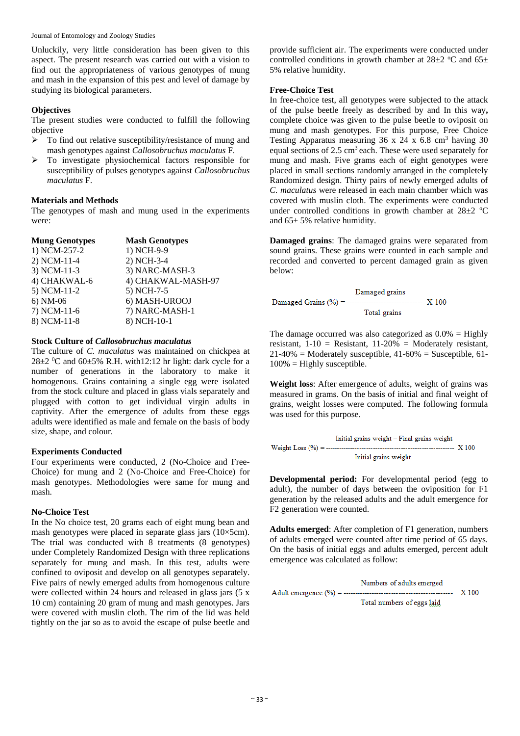Journal of Entomology and Zoology Studies

Unluckily, very little consideration has been given to this aspect. The present research was carried out with a vision to find out the appropriateness of various genotypes of mung and mash in the expansion of this pest and level of damage by studying its biological parameters.

#### **Objectives**

The present studies were conducted to fulfill the following objective

- $\triangleright$  To find out relative susceptibility/resistance of mung and mash genotypes against *Callosobruchus maculatus* F.
- $\triangleright$  To investigate physiochemical factors responsible for susceptibility of pulses genotypes against *Callosobruchus maculatus* F.

### **Materials and Methods**

The genotypes of mash and mung used in the experiments were:

| <b>Mung Genotypes</b> | <b>Mash Genotypes</b> |
|-----------------------|-----------------------|
| 1) NCM-257-2          | 1) NCH-9-9            |
| 2) NCM-11-4           | 2) NCH-3-4            |
| 3) NCM-11-3           | 3) NARC-MASH-3        |
| 4) CHAKWAL-6          | 4) CHAKWAL-MASH-97    |
| 5) NCM-11-2           | 5) NCH-7-5            |
| $6)$ NM-06            | 6) MASH-UROOJ         |
| 7) NCM-11-6           | 7) NARC-MASH-1        |
| 8) NCM-11-8           | 8) NCH-10-1           |

#### **Stock Culture of** *Callosobruchus maculatus*

The culture of *C. maculatus* was maintained on chickpea at  $28\pm2$  <sup>0</sup>C and 60 $\pm5\%$  R.H. with 12:12 hr light: dark cycle for a number of generations in the laboratory to make it homogenous. Grains containing a single egg were isolated from the stock culture and placed in glass vials separately and plugged with cotton to get individual virgin adults in captivity. After the emergence of adults from these eggs adults were identified as male and female on the basis of body size, shape, and colour.

#### **Experiments Conducted**

Four experiments were conducted, 2 (No-Choice and Free-Choice) for mung and 2 (No-Choice and Free-Choice) for mash genotypes. Methodologies were same for mung and mash.

#### **No-Choice Test**

In the No choice test, 20 grams each of eight mung bean and mash genotypes were placed in separate glass jars (10×5cm). The trial was conducted with 8 treatments (8 genotypes) under Completely Randomized Design with three replications separately for mung and mash. In this test, adults were confined to oviposit and develop on all genotypes separately. Five pairs of newly emerged adults from homogenous culture were collected within 24 hours and released in glass jars (5 x 10 cm) containing 20 gram of mung and mash genotypes. Jars were covered with muslin cloth. The rim of the lid was held tightly on the jar so as to avoid the escape of pulse beetle and provide sufficient air. The experiments were conducted under controlled conditions in growth chamber at  $28\pm2$  °C and  $65\pm$ 5% relative humidity.

#### **Free-Choice Test**

In free-choice test, all genotypes were subjected to the attack of the pulse beetle freely as described by and In this way**,**  complete choice was given to the pulse beetle to oviposit on mung and mash genotypes. For this purpose, Free Choice Testing Apparatus measuring  $36 \times 24 \times 6.8$  cm<sup>3</sup> having  $30$ equal sections of 2.5 cm<sup>3</sup> each. These were used separately for mung and mash. Five grams each of eight genotypes were placed in small sections randomly arranged in the completely Randomized design. Thirty pairs of newly emerged adults of *C. maculatus* were released in each main chamber which was covered with muslin cloth. The experiments were conducted under controlled conditions in growth chamber at  $28\pm2$  °C and 65± 5% relative humidity.

**Damaged grains**: The damaged grains were separated from sound grains. These grains were counted in each sample and recorded and converted to percent damaged grain as given below:

$$
Damaged grains
$$
\n
$$
Damaged Grains (*) = 100
$$
\n
$$
Total grains
$$

The damage occurred was also categorized as  $0.0\% =$  Highly resistant,  $1-10$  = Resistant,  $11-20\%$  = Moderately resistant,  $21-40\%$  = Moderately susceptible,  $41-60\%$  = Susceptible, 61- $100\%$  = Highly susceptible.

**Weight loss**: After emergence of adults, weight of grains was measured in grams. On the basis of initial and final weight of grains, weight losses were computed. The following formula was used for this purpose.

$$
Initial grains weight - Final grains weight
$$
\nWeight Loss (%) = `________`

\nInitial grains weight

\nInitial grains weight

**Developmental period:** For developmental period (egg to adult), the number of days between the oviposition for F1 generation by the released adults and the adult emergence for F2 generation were counted.

**Adults emerged**: After completion of F1 generation, numbers of adults emerged were counted after time period of 65 days. On the basis of initial eggs and adults emerged, percent adult emergence was calculated as follow:

Numbers of adults emerged Adult emergence  $(\% ) = -$ Total numbers of eggs laid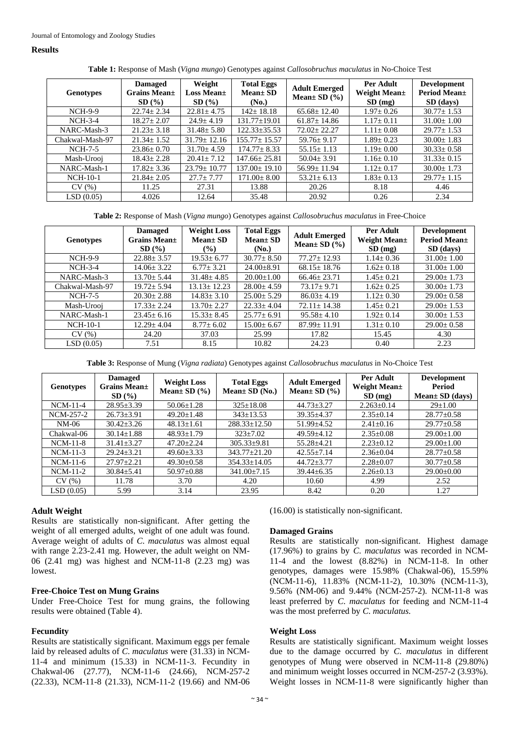#### **Results**

| Table 1: Response of Mash (Vigna mungo) Genotypes against Callosobruchus maculatus in No-Choice Test |  |  |
|------------------------------------------------------------------------------------------------------|--|--|
|                                                                                                      |  |  |

| <b>Genotypes</b> | <b>Damaged</b><br>Grains Mean $\pm$<br>SD(%) | Weight<br><b>Loss Mean</b> $\pm$<br>SD(%) | <b>Total Eggs</b><br>$Mean \pm SD$<br>(No.) | <b>Adult Emerged</b><br>Mean $\pm$ SD $(\% )$ | Per Adult<br><b>Weight Mean</b> ±<br>SD(mg) | <b>Development</b><br>Period Mean+<br>$SD$ (days) |
|------------------|----------------------------------------------|-------------------------------------------|---------------------------------------------|-----------------------------------------------|---------------------------------------------|---------------------------------------------------|
| <b>NCH-9-9</b>   | $22.74 \pm 2.34$                             | $22.81 \pm 4.75$                          | $142 \pm 18.18$                             | $65.68 \pm 12.40$                             | $1.97 \pm 0.26$                             | $30.77 \pm 1.53$                                  |
| $NCH-3-4$        | $18.27 + 2.07$                               | $24.9 + 4.19$                             | $131.77 \pm 19.01$                          | $61.87 \pm 14.86$                             | $1.17 \pm 0.11$                             | $31.00 \pm 1.00$                                  |
| NARC-Mash-3      | $21.23 \pm 3.18$                             | $31.48 \pm 5.80$                          | $122.33 \pm 35.53$                          | $72.02 + 22.27$                               | $1.11 \pm 0.08$                             | $29.77 \pm 1.53$                                  |
| Chakwal-Mash-97  | $21.34 + 1.52$                               | $31.79 \pm 12.16$                         | $155.77 + 15.57$                            | $59.76 \pm 9.17$                              | $1.89 + 0.23$                               | $30.00 \pm 1.83$                                  |
| NCH-7-5          | $23.86 \pm 0.70$                             | $31.70 \pm 4.59$                          | $174.77 \pm 8.33$                           | $55.15 \pm 1.13$                              | $1.19 \pm 0.00$                             | $30.33 \pm 0.58$                                  |
| Mash-Urooj       | $18.43 \pm 2.28$                             | $20.41 \pm 7.12$                          | $147.66 \pm 25.81$                          | $50.04 + 3.91$                                | $1.16 \pm 0.10$                             | $31.33 \pm 0.15$                                  |
| NARC-Mash-1      | $17.82 \pm 3.36$                             | $23.79 \pm 10.77$                         | $137.00 \pm 19.10$                          | $56.99 \pm 11.94$                             | $1.12 \pm 0.17$                             | $30.00 \pm 1.73$                                  |
| <b>NCH-10-1</b>  | $21.84 \pm 2.05$                             | $27.7 \pm 7.77$                           | $171.00 \pm 8.00$                           | $53.21 \pm 6.13$                              | $1.83 \pm 0.13$                             | $29.77 \pm 1.15$                                  |
| CV(%)            | 11.25                                        | 27.31                                     | 13.88                                       | 20.26                                         | 8.18                                        | 4.46                                              |
| LSD(0.05)        | 4.026                                        | 12.64                                     | 35.48                                       | 20.92                                         | 0.26                                        | 2.34                                              |

**Table 2:** Response of Mash (*Vigna mungo*) Genotypes against *Callosobruchus maculatus* in Free-Choice

| <b>Genotypes</b> | <b>Damaged</b><br><b>Grains Mean</b> ±<br>SD(%) | <b>Weight Loss</b><br>$Mean \pm SD$<br>$(\%)$ | <b>Total Eggs</b><br>$Mean \pm SD$<br>(No.) | <b>Adult Emerged</b><br>Mean $\pm$ SD $(\% )$ | Per Adult<br>Weight Mean+<br>SD(mg) | <b>Development</b><br>Period Mean±<br>$SD$ (days) |
|------------------|-------------------------------------------------|-----------------------------------------------|---------------------------------------------|-----------------------------------------------|-------------------------------------|---------------------------------------------------|
| <b>NCH-9-9</b>   | $22.88 \pm 3.57$                                | $19.53 \pm 6.77$                              | $30.77 \pm 8.50$                            | $77.27 + 12.93$                               | $1.14 \pm 0.36$                     | $31.00 \pm 1.00$                                  |
| $NCH-3-4$        | $14.06 \pm 3.22$                                | $6.77 \pm 3.21$                               | $24.00 \pm 8.91$                            | $68.15 \pm 18.76$                             | $1.62 \pm 0.18$                     | $31.00 \pm 1.00$                                  |
| NARC-Mash-3      | $13.70 \pm 5.44$                                | $31.48 \pm 4.85$                              | $20.00 \pm 1.00$                            | $66.46 \pm 23.71$                             | $1.45 \pm 0.21$                     | $29.00 \pm 1.73$                                  |
| Chakwal-Mash-97  | $19.72 \pm 5.94$                                | $13.13 \pm 12.23$                             | $28.00 \pm 4.59$                            | $73.17 \pm 9.71$                              | $1.62 \pm 0.25$                     | $30.00 \pm 1.73$                                  |
| NCH-7-5          | $20.30 \pm 2.88$                                | $14.83 \pm 3.10$                              | $25.00 \pm 5.29$                            | $86.03 \pm 4.19$                              | $1.12 \pm 0.30$                     | $29.00 \pm 0.58$                                  |
| Mash-Urooj       | $17.33 \pm 2.24$                                | $13.70 \pm 2.27$                              | $22.33 \pm 4.04$                            | $72.11 \pm 14.38$                             | $1.45 \pm 0.21$                     | $29.00 \pm 1.53$                                  |
| NARC-Mash-1      | $23.45 \pm 6.16$                                | $15.33 \pm 8.45$                              | $25.77 \pm 6.91$                            | $95.58 \pm 4.10$                              | $1.92 \pm 0.14$                     | $30.00 \pm 1.53$                                  |
| $NCH-10-1$       | $12.29 \pm 4.04$                                | $8.77 \pm 6.02$                               | $15.00 \pm 6.67$                            | $87.99 \pm 11.91$                             | $1.31 \pm 0.10$                     | $29.00 \pm 0.58$                                  |
| CV(%)            | 24.20                                           | 37.03                                         | 25.99                                       | 17.82                                         | 15.45                               | 4.30                                              |
| LSD(0.05)        | 7.51                                            | 8.15                                          | 10.82                                       | 24.23                                         | 0.40                                | 2.23                                              |

**Table 3:** Response of Mung (*Vigna radiata*) Genotypes against *Callosobruchus maculatus* in No-Choice Test

| <b>Genotypes</b> | <b>Damaged</b><br><b>Grains Mean</b> ±<br>SD(%) | <b>Weight Loss</b><br>Mean $\pm$ SD $(\% )$ | <b>Total Eggs</b><br>Mean $\pm$ SD (No.) | <b>Adult Emerged</b><br>Mean $\pm$ SD $(\% )$ | Per Adult<br>Weight Mean±<br>SD(mg) | <b>Development</b><br>Period<br>$Mean \pm SD$ (days) |
|------------------|-------------------------------------------------|---------------------------------------------|------------------------------------------|-----------------------------------------------|-------------------------------------|------------------------------------------------------|
| $NCM-11-4$       | $28.95 \pm 3.39$                                | $50.06 \pm 1.28$                            | $325 \pm 18.08$                          | $44.73 \pm 3.27$                              | $2.263 \pm 0.14$                    | $29 \pm 1.00$                                        |
| NCM-257-2        | $26.73 \pm 3.91$                                | $49.20 \pm 1.48$                            | $343 \pm 13.53$                          | $39.35 \pm 4.37$                              | $2.35 \pm 0.14$                     | $28.77 \pm 0.58$                                     |
| $NM-06$          | $30.42 \pm 3.26$                                | $48.13 \pm 1.61$                            | $288.33 \pm 12.50$                       | $51.99 \pm 4.52$                              | $2.41 \pm 0.16$                     | $29.77 \pm 0.58$                                     |
| Chakwal-06       | $30.14 \pm 1.88$                                | $48.93 \pm 1.79$                            | $323 \pm 7.02$                           | $49.59 \pm 4.12$                              | $2.35 \pm 0.08$                     | $29.00 \pm 1.00$                                     |
| $NCM-11-8$       | $31.41 \pm 3.27$                                | $47.20 \pm 2.24$                            | $305.33 \pm 9.81$                        | $55.28 \pm 4.21$                              | $2.23 \pm 0.12$                     | $29.00 \pm 1.00$                                     |
| $NCM-11-3$       | $29.24 \pm 3.21$                                | $49.60 \pm 3.33$                            | $343.77 \pm 21.20$                       | $42.55 \pm 7.14$                              | $2.36 \pm 0.04$                     | $28.77 \pm 0.58$                                     |
| $NCM-11-6$       | $27.97 \pm 2.21$                                | $49.30 \pm 0.58$                            | $354.33 \pm 14.05$                       | $44.72 \pm 3.77$                              | $2.28 \pm 0.07$                     | $30.77 \pm 0.58$                                     |
| $NCM-11-2$       | $30.84 \pm 5.41$                                | $50.97 \pm 0.88$                            | $341.00 \pm 7.15$                        | $39.44 \pm 6.35$                              | $2.26 \pm 0.13$                     | $29.00 \pm 0.00$                                     |
| CV(%)            | 11.78                                           | 3.70                                        | 4.20                                     | 10.60                                         | 4.99                                | 2.52                                                 |
| LSD(0.05)        | 5.99                                            | 3.14                                        | 23.95                                    | 8.42                                          | 0.20                                | 1.27                                                 |

#### **Adult Weight**

Results are statistically non-significant. After getting the weight of all emerged adults, weight of one adult was found. Average weight of adults of *C*. *maculatus* was almost equal with range 2.23-2.41 mg. However, the adult weight on NM-06 (2.41 mg) was highest and NCM-11-8 (2.23 mg) was lowest.

#### **Free-Choice Test on Mung Grains**

Under Free-Choice Test for mung grains, the following results were obtained (Table 4).

#### **Fecundity**

Results are statistically significant. Maximum eggs per female laid by released adults of *C*. *maculatus* were (31.33) in NCM-11-4 and minimum (15.33) in NCM-11-3. Fecundity in Chakwal-06 (27.77), NCM-11-6 (24.66), NCM-257-2 (22.33), NCM-11-8 (21.33), NCM-11-2 (19.66) and NM-06 (16.00) is statistically non-significant.

#### **Damaged Grains**

Results are statistically non-significant. Highest damage (17.96%) to grains by *C*. *maculatus* was recorded in NCM-11-4 and the lowest (8.82%) in NCM-11-8. In other genotypes, damages were 15.98% (Chakwal-06), 15.59% (NCM-11-6), 11.83% (NCM-11-2), 10.30% (NCM-11-3), 9.56% (NM-06) and 9.44% (NCM-257-2). NCM-11-8 was least preferred by *C*. *maculatus* for feeding and NCM-11-4 was the most preferred by *C*. *maculatus.* 

#### **Weight Loss**

Results are statistically significant. Maximum weight losses due to the damage occurred by *C*. *maculatus* in different genotypes of Mung were observed in NCM-11-8 (29.80%) and minimum weight losses occurred in NCM-257-2 (3.93%). Weight losses in NCM-11-8 were significantly higher than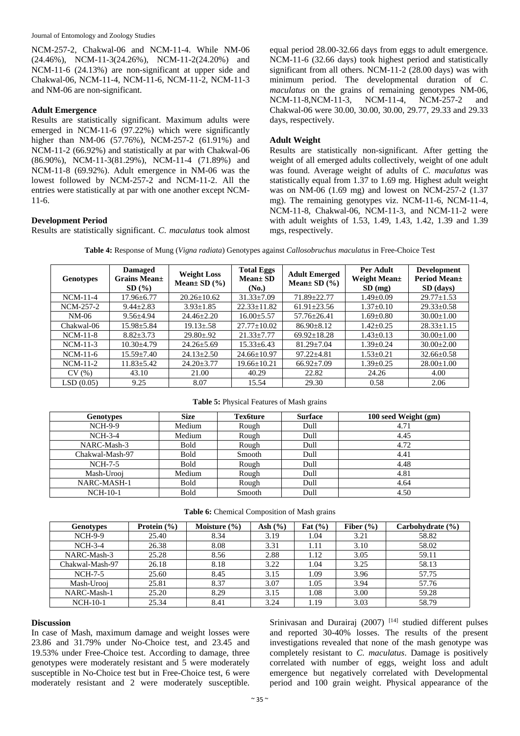NCM-257-2, Chakwal-06 and NCM-11-4. While NM-06 (24.46%), NCM-11-3(24.26%), NCM-11-2(24.20%) and NCM-11-6 (24.13%) are non-significant at upper side and Chakwal-06, NCM-11-4, NCM-11-6, NCM-11-2, NCM-11-3 and NM-06 are non-significant.

#### **Adult Emergence**

Results are statistically significant. Maximum adults were emerged in NCM-11-6 (97.22%) which were significantly higher than NM-06 (57.76%), NCM-257-2 (61.91%) and NCM-11-2 (66.92%) and statistically at par with Chakwal-06 (86.90%), NCM-11-3(81.29%), NCM-11-4 (71.89%) and NCM-11-8 (69.92%). Adult emergence in NM-06 was the lowest followed by NCM-257-2 and NCM-11-2. All the entries were statistically at par with one another except NCM-11-6.

#### **Development Period**

Results are statistically significant. *C*. *maculatus* took almost

equal period 28.00-32.66 days from eggs to adult emergence. NCM-11-6 (32.66 days) took highest period and statistically significant from all others. NCM-11-2 (28.00 days) was with minimum period. The developmental duration of *C*. *maculatus* on the grains of remaining genotypes NM-06, NCM-11-8,NCM-11-3, NCM-11-4, NCM-257-2 and Chakwal-06 were 30.00, 30.00, 30.00, 29.77, 29.33 and 29.33 days, respectively.

## **Adult Weight**

Results are statistically non-significant. After getting the weight of all emerged adults collectively, weight of one adult was found. Average weight of adults of *C. maculatus* was statistically equal from 1.37 to 1.69 mg. Highest adult weight was on NM-06 (1.69 mg) and lowest on NCM-257-2 (1.37 mg). The remaining genotypes viz. NCM-11-6, NCM-11-4, NCM-11-8, Chakwal-06, NCM-11-3, and NCM-11-2 were with adult weights of 1.53, 1.49, 1.43, 1.42, 1.39 and 1.39 mgs, respectively.



| <b>Genotypes</b> | <b>Damaged</b><br><b>Grains Mean</b> ±<br>SD(%) | <b>Weight Loss</b><br>Mean $\pm$ SD $(\% )$ | <b>Total Eggs</b><br>$Mean \pm SD$<br>(No.) | <b>Adult Emerged</b><br>Mean $\pm$ SD $(\% )$ | Per Adult<br><b>Weight Mean</b> ±<br>SD(mg) | <b>Development</b><br>Period Mean±<br>$SD$ (days) |
|------------------|-------------------------------------------------|---------------------------------------------|---------------------------------------------|-----------------------------------------------|---------------------------------------------|---------------------------------------------------|
| $NCM-11-4$       | $17.96 \pm 6.77$                                | $20.26 \pm 10.62$                           | $31.33 \pm 7.09$                            | 71.89+22.77                                   | $1.49 \pm 0.09$                             | $29.77 \pm 1.53$                                  |
| NCM-257-2        | $9.44 \pm 2.83$                                 | $3.93 \pm 1.85$                             | $22.33 \pm 11.82$                           | $61.91 \pm 23.56$                             | $1.37 \pm 0.10$                             | $29.33 \pm 0.58$                                  |
| $NM-06$          | $9.56 \pm 4.94$                                 | $24.46 \pm 2.20$                            | $16.00 \pm 5.57$                            | $57.76 \pm 26.41$                             | $1.69 \pm 0.80$                             | $30.00 \pm 1.00$                                  |
| Chakwal-06       | $15.98 \pm 5.84$                                | $19.13 \pm .58$                             | $27.77 \pm 10.02$                           | $86.90 \pm 8.12$                              | $1.42 \pm 0.25$                             | $28.33 \pm 1.15$                                  |
| $NCM-11-8$       | $8.82 \pm 3.73$                                 | $29.80 \pm .92$                             | $21.33 \pm 7.77$                            | $69.92 \pm 18.28$                             | $1.43 \pm 0.13$                             | $30.00 \pm 1.00$                                  |
| $NCM-11-3$       | $10.30 \pm 4.79$                                | $24.26 \pm 5.69$                            | $15.33 \pm 6.43$                            | $81.29 \pm 7.04$                              | $1.39 \pm 0.24$                             | $30.00 \pm 2.00$                                  |
| $NCM-11-6$       | $15.59 \pm 7.40$                                | $24.13 \pm 2.50$                            | $24.66 \pm 10.97$                           | $97.22 \pm 4.81$                              | $1.53 \pm 0.21$                             | $32.66 \pm 0.58$                                  |
| $NCM-11-2$       | $11.83 \pm 5.42$                                | $24.20 \pm 3.77$                            | $19.66 \pm 10.21$                           | $66.92 \pm 7.09$                              | $1.39 \pm 0.25$                             | $28.00 \pm 1.00$                                  |
| CV(%)            | 43.10                                           | 21.00                                       | 40.29                                       | 22.82                                         | 24.26                                       | 4.00                                              |
| LSD(0.05)        | 9.25                                            | 8.07                                        | 15.54                                       | 29.30                                         | 0.58                                        | 2.06                                              |

#### **Table 5:** Physical Features of Mash grains

| <b>Genotypes</b> | <b>Size</b> | <b>Tex6ture</b> | <b>Surface</b> | 100 seed Weight (gm) |
|------------------|-------------|-----------------|----------------|----------------------|
| <b>NCH-9-9</b>   | Medium      | Rough           | Dull           | 4.71                 |
| $NCH-3-4$        | Medium      | Rough           | Dull           | 4.45                 |
| NARC-Mash-3      | <b>Bold</b> | Rough           | Dull           | 4.72                 |
| Chakwal-Mash-97  | <b>Bold</b> | Smooth          | Dull           | 4.41                 |
| <b>NCH-7-5</b>   | <b>Bold</b> | Rough           | Dull           | 4.48                 |
| Mash-Urooj       | Medium      | Rough           | Dull           | 4.81                 |
| NARC-MASH-1      | <b>Bold</b> | Rough           | Dull           | 4.64                 |
| $NCH-10-1$       | <b>Bold</b> | Smooth          | Dull           | 4.50                 |

**Table 6:** Chemical Composition of Mash grains

| <b>Genotypes</b> | Protein $(\% )$ | Moisture $(\% )$ | Ash $(\%)$ | Fat $(\% )$ | Fiber $(\% )$ | Carbohydrate (%) |
|------------------|-----------------|------------------|------------|-------------|---------------|------------------|
| <b>NCH-9-9</b>   | 25.40           | 8.34             | 3.19       | 1.04        | 3.21          | 58.82            |
| $NCH-3-4$        | 26.38           | 8.08             | 3.31       | 1.11        | 3.10          | 58.02            |
| NARC-Mash-3      | 25.28           | 8.56             | 2.88       | 1.12        | 3.05          | 59.11            |
| Chakwal-Mash-97  | 26.18           | 8.18             | 3.22       | 1.04        | 3.25          | 58.13            |
| $NCH-7-5$        | 25.60           | 8.45             | 3.15       | 1.09        | 3.96          | 57.75            |
| Mash-Urooi       | 25.81           | 8.37             | 3.07       | 1.05        | 3.94          | 57.76            |
| NARC-Mash-1      | 25.20           | 8.29             | 3.15       | 1.08        | 3.00          | 59.28            |
| $NCH-10-1$       | 25.34           | 8.41             | 3.24       | 1.19        | 3.03          | 58.79            |

#### **Discussion**

In case of Mash, maximum damage and weight losses were 23.86 and 31.79% under No-Choice test, and 23.45 and 19.53% under Free-Choice test. According to damage, three genotypes were moderately resistant and 5 were moderately susceptible in No-Choice test but in Free-Choice test, 6 were moderately resistant and 2 were moderately susceptible.

Srinivasan and Durairaj (2007)<sup>[14]</sup> studied different pulses and reported 30-40% losses. The results of the present investigations revealed that none of the mash genotype was completely resistant to *C. maculatus*. Damage is positively correlated with number of eggs, weight loss and adult emergence but negatively correlated with Developmental period and 100 grain weight. Physical appearance of the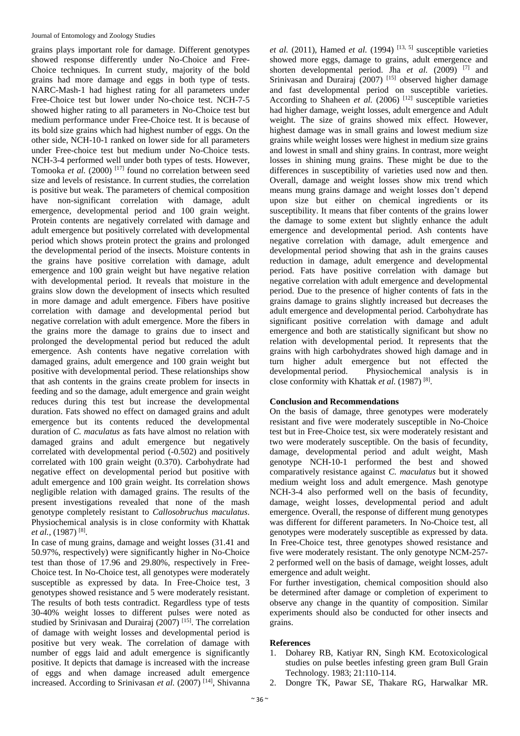grains plays important role for damage. Different genotypes showed response differently under No-Choice and Free-Choice techniques. In current study, majority of the bold grains had more damage and eggs in both type of tests. NARC-Mash-1 had highest rating for all parameters under Free-Choice test but lower under No-choice test. NCH-7-5 showed higher rating to all parameters in No-Choice test but medium performance under Free-Choice test. It is because of its bold size grains which had highest number of eggs. On the other side, NCH-10-1 ranked on lower side for all parameters under Free-choice test but medium under No-Choice tests. NCH-3-4 performed well under both types of tests. However, Tomooka *et al.* (2000)<sup>[17]</sup> found no correlation between seed size and levels of resistance. In current studies, the correlation is positive but weak. The parameters of chemical composition have non-significant correlation with damage, adult emergence, developmental period and 100 grain weight. Protein contents are negatively correlated with damage and adult emergence but positively correlated with developmental period which shows protein protect the grains and prolonged the developmental period of the insects. Moisture contents in the grains have positive correlation with damage, adult emergence and 100 grain weight but have negative relation with developmental period. It reveals that moisture in the grains slow down the development of insects which resulted in more damage and adult emergence. Fibers have positive correlation with damage and developmental period but negative correlation with adult emergence. More the fibers in the grains more the damage to grains due to insect and prolonged the developmental period but reduced the adult emergence. Ash contents have negative correlation with damaged grains, adult emergence and 100 grain weight but positive with developmental period. These relationships show that ash contents in the grains create problem for insects in feeding and so the damage, adult emergence and grain weight reduces during this test but increase the developmental duration. Fats showed no effect on damaged grains and adult emergence but its contents reduced the developmental duration of *C. maculatus* as fats have almost no relation with damaged grains and adult emergence but negatively correlated with developmental period (-0.502) and positively correlated with 100 grain weight (0.370). Carbohydrate had negative effect on developmental period but positive with adult emergence and 100 grain weight. Its correlation shows negligible relation with damaged grains. The results of the present investigations revealed that none of the mash genotype completely resistant to *Callosobruchus maculatus*. Physiochemical analysis is in close conformity with Khattak *et al.,* (1987) [8] .

In case of mung grains, damage and weight losses (31.41 and 50.97%, respectively) were significantly higher in No-Choice test than those of 17.96 and 29.80%, respectively in Free-Choice test. In No-Choice test, all genotypes were moderately susceptible as expressed by data. In Free-Choice test, 3 genotypes showed resistance and 5 were moderately resistant. The results of both tests contradict. Regardless type of tests 30-40% weight losses to different pulses were noted as studied by Srinivasan and Durairaj (2007)<sup>[15]</sup>. The correlation of damage with weight losses and developmental period is positive but very weak. The correlation of damage with number of eggs laid and adult emergence is significantly positive. It depicts that damage is increased with the increase of eggs and when damage increased adult emergence increased. According to Srinivasan et al. (2007)<sup>[14]</sup>, Shivanna

*et al.* (2011), Hamed *et al.* (1994) [13, 5] susceptible varieties showed more eggs, damage to grains, adult emergence and shorten developmental period. Jha et al. (2009)<sup>[7]</sup> and Srinivasan and Durairaj (2007)<sup>[15]</sup> observed higher damage and fast developmental period on susceptible varieties. According to Shaheen *et al.* (2006)<sup>[12]</sup> susceptible varieties had higher damage, weight losses, adult emergence and Adult weight. The size of grains showed mix effect. However, highest damage was in small grains and lowest medium size grains while weight losses were highest in medium size grains and lowest in small and shiny grains. In contrast, more weight losses in shining mung grains. These might be due to the differences in susceptibility of varieties used now and then. Overall, damage and weight losses show mix trend which means mung grains damage and weight losses don't depend upon size but either on chemical ingredients or its susceptibility. It means that fiber contents of the grains lower the damage to some extent but slightly enhance the adult emergence and developmental period. Ash contents have negative correlation with damage, adult emergence and developmental period showing that ash in the grains causes reduction in damage, adult emergence and developmental period. Fats have positive correlation with damage but negative correlation with adult emergence and developmental period. Due to the presence of higher contents of fats in the grains damage to grains slightly increased but decreases the adult emergence and developmental period. Carbohydrate has significant positive correlation with damage and adult emergence and both are statistically significant but show no relation with developmental period. It represents that the grains with high carbohydrates showed high damage and in turn higher adult emergence but not effected the developmental period. Physiochemical analysis is in close conformity with Khattak et al. (1987)<sup>[8]</sup>.

#### **Conclusion and Recommendations**

On the basis of damage, three genotypes were moderately resistant and five were moderately susceptible in No-Choice test but in Free-Choice test, six were moderately resistant and two were moderately susceptible. On the basis of fecundity, damage, developmental period and adult weight, Mash genotype NCH-10-1 performed the best and showed comparatively resistance against *C. maculatus* but it showed medium weight loss and adult emergence. Mash genotype NCH-3-4 also performed well on the basis of fecundity, damage, weight losses, developmental period and adult emergence. Overall, the response of different mung genotypes was different for different parameters. In No-Choice test, all genotypes were moderately susceptible as expressed by data. In Free-Choice test, three genotypes showed resistance and five were moderately resistant. The only genotype NCM-257- 2 performed well on the basis of damage, weight losses, adult emergence and adult weight.

For further investigation, chemical composition should also be determined after damage or completion of experiment to observe any change in the quantity of composition. Similar experiments should also be conducted for other insects and grains.

#### **References**

- 1. Doharey RB, Katiyar RN, Singh KM. Ecotoxicological studies on pulse beetles infesting green gram Bull Grain Technology. 1983; 21:110-114.
- 2. Dongre TK, Pawar SE, Thakare RG, Harwalkar MR.